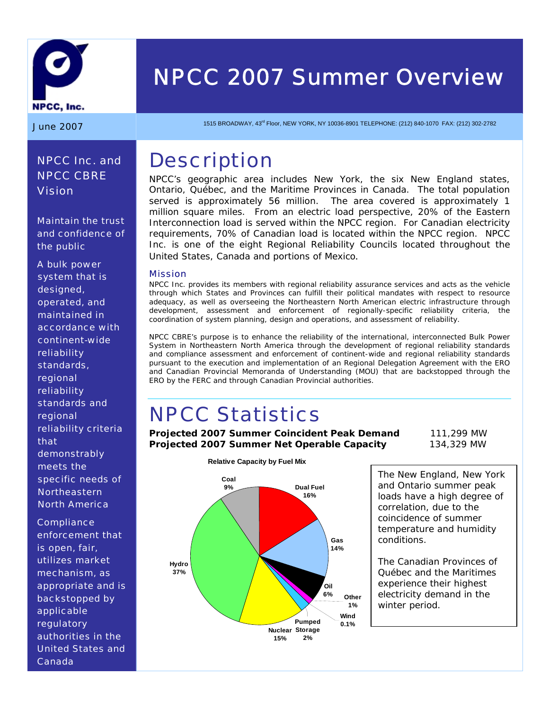

# *NPCC 2007 Summer Overview*

**June 2007** 1515 BROADWAY, 43<sup>rd</sup> Floor, NEW YORK, NY 10036-8901 TELEPHONE: (212) 840-1070 FAX: (212) 302-2782

### **Description**

NPCC's geographic area includes New York, the six New England states, Ontario, Québec, and the Maritime Provinces in Canada. The total population served is approximately 56 million. The area covered is approximately 1 million square miles. From an electric load perspective, 20% of the Eastern Interconnection load is served within the NPCC region. For Canadian electricity requirements, 70% of Canadian load is located within the NPCC region. NPCC Inc. is one of the eight Regional Reliability Councils located throughout the United States, Canada and portions of Mexico.

#### Mission

NPCC Inc. provides its members with regional reliability assurance services and acts as the vehicle through which States and Provinces can fulfill their political mandates with respect to resource adequacy, as well as overseeing the Northeastern North American electric infrastructure through development, assessment and enforcement of regionally-specific reliability criteria, the coordination of system planning, design and operations, and assessment of reliability.

NPCC CBRE's purpose is to enhance the reliability of the international, interconnected Bulk Power System in Northeastern North America through the development of regional reliability standards and compliance assessment and enforcement of continent-wide and regional reliability standards pursuant to the execution and implementation of an Regional Delegation Agreement with the ERO and Canadian Provincial Memoranda of Understanding (MOU) that are backstopped through the ERO by the FERC and through Canadian Provincial authorities.

## NPCC Statistics

**Projected 2007 Summer Coincident Peak Demand** 111,299 MW **Projected 2007 Summer Net Operable Capacity** 134,329 MW



The New England, New York and Ontario summer peak loads have a high degree of correlation, due to the coincidence of summer temperature and humidity conditions.

The Canadian Provinces of Québec and the Maritimes experience their highest electricity demand in the winter period.

### *NPCC Inc. and NPCC CBRE Vision*

*Maintain the trust and confidence of the public* 

*A bulk power system that is designed, operated, and maintained in accordance with continent-wide reliability standards, regional reliability standards and regional reliability criteria that demonstrably meets the specific needs of Northeastern North America* 

*Compliance enforcement that is open, fair, utilizes market mechanism, as appropriate and is backstopped by applicable regulatory authorities in the United States and Canada*